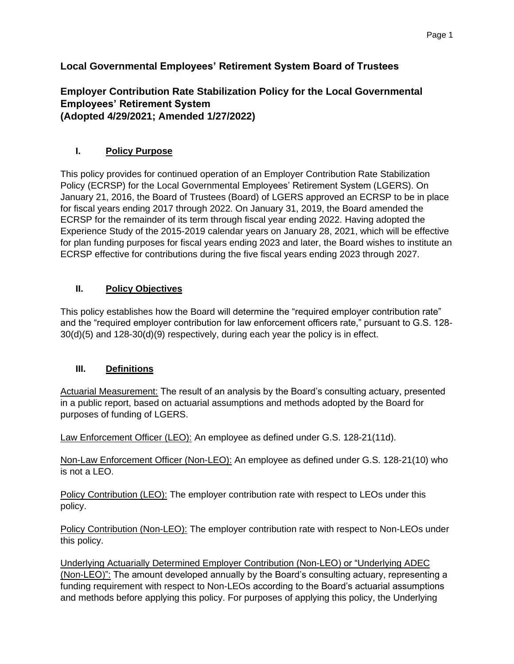# **Local Governmental Employees' Retirement System Board of Trustees**

### **Employer Contribution Rate Stabilization Policy for the Local Governmental Employees' Retirement System (Adopted 4/29/2021; Amended 1/27/2022)**

#### **I. Policy Purpose**

This policy provides for continued operation of an Employer Contribution Rate Stabilization Policy (ECRSP) for the Local Governmental Employees' Retirement System (LGERS). On January 21, 2016, the Board of Trustees (Board) of LGERS approved an ECRSP to be in place for fiscal years ending 2017 through 2022. On January 31, 2019, the Board amended the ECRSP for the remainder of its term through fiscal year ending 2022. Having adopted the Experience Study of the 2015-2019 calendar years on January 28, 2021, which will be effective for plan funding purposes for fiscal years ending 2023 and later, the Board wishes to institute an ECRSP effective for contributions during the five fiscal years ending 2023 through 2027.

### **II. Policy Objectives**

This policy establishes how the Board will determine the "required employer contribution rate" and the "required employer contribution for law enforcement officers rate," pursuant to G.S. 128- 30(d)(5) and 128-30(d)(9) respectively, during each year the policy is in effect.

#### **III. Definitions**

Actuarial Measurement: The result of an analysis by the Board's consulting actuary, presented in a public report, based on actuarial assumptions and methods adopted by the Board for purposes of funding of LGERS.

Law Enforcement Officer (LEO): An employee as defined under G.S. 128-21(11d).

Non-Law Enforcement Officer (Non-LEO): An employee as defined under G.S. 128-21(10) who is not a LEO.

Policy Contribution (LEO): The employer contribution rate with respect to LEOs under this policy.

Policy Contribution (Non-LEO): The employer contribution rate with respect to Non-LEOs under this policy.

Underlying Actuarially Determined Employer Contribution (Non-LEO) or "Underlying ADEC (Non-LEO)": The amount developed annually by the Board's consulting actuary, representing a funding requirement with respect to Non-LEOs according to the Board's actuarial assumptions and methods before applying this policy. For purposes of applying this policy, the Underlying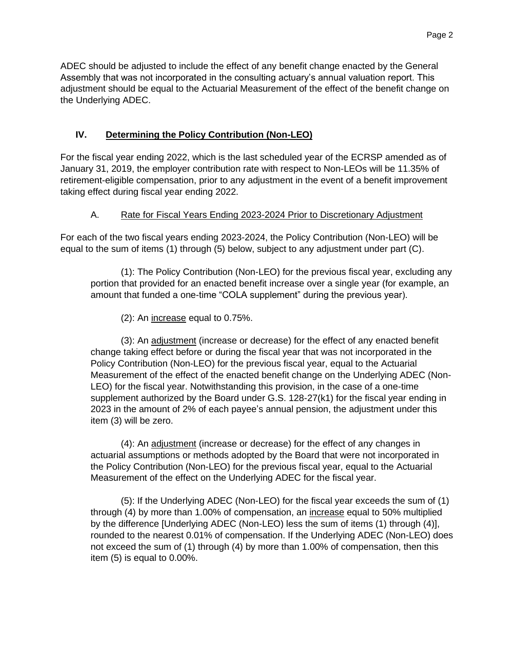Page 2

ADEC should be adjusted to include the effect of any benefit change enacted by the General Assembly that was not incorporated in the consulting actuary's annual valuation report. This adjustment should be equal to the Actuarial Measurement of the effect of the benefit change on the Underlying ADEC.

### **IV. Determining the Policy Contribution (Non-LEO)**

For the fiscal year ending 2022, which is the last scheduled year of the ECRSP amended as of January 31, 2019, the employer contribution rate with respect to Non-LEOs will be 11.35% of retirement-eligible compensation, prior to any adjustment in the event of a benefit improvement taking effect during fiscal year ending 2022.

#### A. Rate for Fiscal Years Ending 2023-2024 Prior to Discretionary Adjustment

For each of the two fiscal years ending 2023-2024, the Policy Contribution (Non-LEO) will be equal to the sum of items (1) through (5) below, subject to any adjustment under part (C).

(1): The Policy Contribution (Non-LEO) for the previous fiscal year, excluding any portion that provided for an enacted benefit increase over a single year (for example, an amount that funded a one-time "COLA supplement" during the previous year).

(2): An increase equal to 0.75%.

(3): An adjustment (increase or decrease) for the effect of any enacted benefit change taking effect before or during the fiscal year that was not incorporated in the Policy Contribution (Non-LEO) for the previous fiscal year, equal to the Actuarial Measurement of the effect of the enacted benefit change on the Underlying ADEC (Non-LEO) for the fiscal year. Notwithstanding this provision, in the case of a one-time supplement authorized by the Board under G.S. 128-27(k1) for the fiscal year ending in 2023 in the amount of 2% of each payee's annual pension, the adjustment under this item (3) will be zero.

(4): An adjustment (increase or decrease) for the effect of any changes in actuarial assumptions or methods adopted by the Board that were not incorporated in the Policy Contribution (Non-LEO) for the previous fiscal year, equal to the Actuarial Measurement of the effect on the Underlying ADEC for the fiscal year.

(5): If the Underlying ADEC (Non-LEO) for the fiscal year exceeds the sum of (1) through (4) by more than 1.00% of compensation, an increase equal to 50% multiplied by the difference [Underlying ADEC (Non-LEO) less the sum of items (1) through (4)], rounded to the nearest 0.01% of compensation. If the Underlying ADEC (Non-LEO) does not exceed the sum of (1) through (4) by more than 1.00% of compensation, then this item (5) is equal to 0.00%.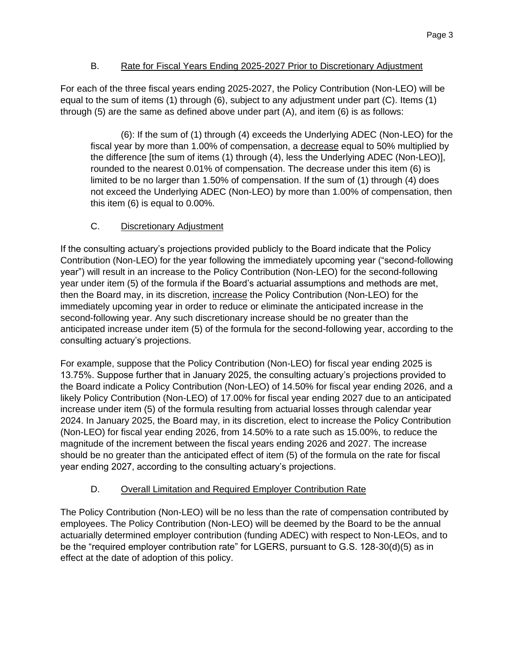### B. Rate for Fiscal Years Ending 2025-2027 Prior to Discretionary Adjustment

For each of the three fiscal years ending 2025-2027, the Policy Contribution (Non-LEO) will be equal to the sum of items (1) through (6), subject to any adjustment under part (C). Items (1) through (5) are the same as defined above under part (A), and item (6) is as follows:

(6): If the sum of (1) through (4) exceeds the Underlying ADEC (Non-LEO) for the fiscal year by more than 1.00% of compensation, a decrease equal to 50% multiplied by the difference [the sum of items (1) through (4), less the Underlying ADEC (Non-LEO)], rounded to the nearest 0.01% of compensation. The decrease under this item (6) is limited to be no larger than 1.50% of compensation. If the sum of (1) through (4) does not exceed the Underlying ADEC (Non-LEO) by more than 1.00% of compensation, then this item (6) is equal to 0.00%.

## C. Discretionary Adjustment

If the consulting actuary's projections provided publicly to the Board indicate that the Policy Contribution (Non-LEO) for the year following the immediately upcoming year ("second-following year") will result in an increase to the Policy Contribution (Non-LEO) for the second-following year under item (5) of the formula if the Board's actuarial assumptions and methods are met, then the Board may, in its discretion, increase the Policy Contribution (Non-LEO) for the immediately upcoming year in order to reduce or eliminate the anticipated increase in the second-following year. Any such discretionary increase should be no greater than the anticipated increase under item (5) of the formula for the second-following year, according to the consulting actuary's projections.

For example, suppose that the Policy Contribution (Non-LEO) for fiscal year ending 2025 is 13.75%. Suppose further that in January 2025, the consulting actuary's projections provided to the Board indicate a Policy Contribution (Non-LEO) of 14.50% for fiscal year ending 2026, and a likely Policy Contribution (Non-LEO) of 17.00% for fiscal year ending 2027 due to an anticipated increase under item (5) of the formula resulting from actuarial losses through calendar year 2024. In January 2025, the Board may, in its discretion, elect to increase the Policy Contribution (Non-LEO) for fiscal year ending 2026, from 14.50% to a rate such as 15.00%, to reduce the magnitude of the increment between the fiscal years ending 2026 and 2027. The increase should be no greater than the anticipated effect of item (5) of the formula on the rate for fiscal year ending 2027, according to the consulting actuary's projections.

# D. Overall Limitation and Required Employer Contribution Rate

The Policy Contribution (Non-LEO) will be no less than the rate of compensation contributed by employees. The Policy Contribution (Non-LEO) will be deemed by the Board to be the annual actuarially determined employer contribution (funding ADEC) with respect to Non-LEOs, and to be the "required employer contribution rate" for LGERS, pursuant to G.S. 128-30(d)(5) as in effect at the date of adoption of this policy.